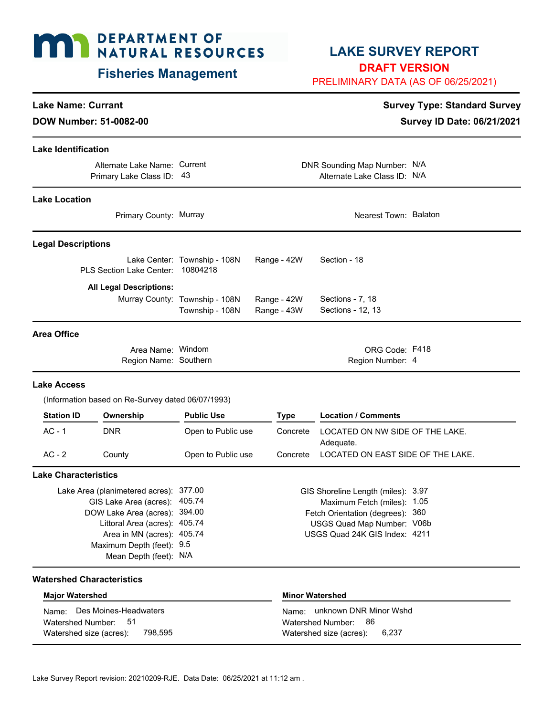# **MAN DEPARTMENT OF NATURAL RESOURCES**

### **Fisheries Management**

### **LAKE SURVEY REPORT**

**DRAFT VERSION**

PRELIMINARY DATA (AS OF 06/25/2021)

#### **Lake Name: Currant Survey Type: Standard Survey** Type: Standard Survey

**DOW Number: 51-0082-00** Survey ID Date: 06/21/2021

#### **Lake Identification**

**Lake Location**

Alternate Lake Name: Current Primary Lake Class ID: 43

DNR Sounding Map Number: N/A Alternate Lake Class ID: N/A

| Primary County: Murray         |                                          |             | Nearest Town: Balaton |  |
|--------------------------------|------------------------------------------|-------------|-----------------------|--|
| <b>Legal Descriptions</b>      |                                          |             |                       |  |
| PLS Section Lake Center:       | Lake Center: Township - 108N<br>10804218 | Range - 42W | Section - 18          |  |
| <b>All Legal Descriptions:</b> |                                          |             |                       |  |
|                                | Murray County: Township - 108N           | Range - 42W | Sections - 7, 18      |  |
|                                | Township - 108N                          | Range - 43W | Sections - 12, 13     |  |
| Area Office                    |                                          |             |                       |  |
| Area Name: Windom              |                                          |             | ORG Code: F418        |  |

Region Number: Southern 4

#### **Lake Access**

(Information based on Re-Survey dated 06/07/1993)

Region Name:

| <b>Station ID</b> | Ownership  | <b>Public Use</b>  | Tvpe     | <b>Location / Comments</b>                   |
|-------------------|------------|--------------------|----------|----------------------------------------------|
| AC - 1            | <b>DNR</b> | Open to Public use | Concrete | LOCATED ON NW SIDE OF THE LAKE.<br>Adequate. |
| $AC - 2$          | County     | Open to Public use | Concrete | LOCATED ON EAST SIDE OF THE LAKE.            |

#### **Lake Characteristics**

Lake Area (planimetered acres): 377.00 Area in MN (acres): 405.74 DOW Lake Area (acres): 394.00 Littoral Area (acres): 405.74 Maximum Depth (feet): 9.5 Mean Depth (feet): N/A GIS Lake Area (acres): 405.74

#### GIS Shoreline Length (miles): 3.97 Maximum Fetch (miles): 1.05 Fetch Orientation (degrees): 360 USGS Quad Map Number: V06b USGS Quad 24K GIS Index: 4211

#### **Watershed Characteristics**

| <b>Major Watershed</b>             | Minor Watershed                   |
|------------------------------------|-----------------------------------|
| Name: Des Moines-Headwaters        | unknown DNR Minor Wshd<br>Name: I |
| Watershed Number: 51               | Watershed Number: 86              |
| 798.595<br>Watershed size (acres): | Watershed size (acres): $6,237$   |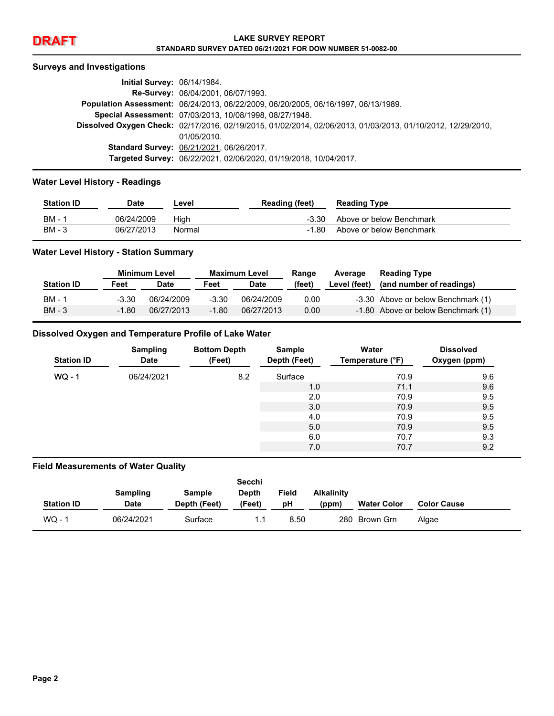

## **DRAFT LAKE SURVEY REPORT STANDARD SURVEY DATED 06/21/2021 FOR DOW NUMBER 51-0082-00**

#### **Surveys and Investigations**

| <b>Initial Survey: 06/14/1984.</b> |                                                                                                             |
|------------------------------------|-------------------------------------------------------------------------------------------------------------|
|                                    | <b>Re-Survey: 06/04/2001, 06/07/1993.</b>                                                                   |
|                                    | Population Assessment: 06/24/2013, 06/22/2009, 06/20/2005, 06/16/1997, 06/13/1989.                          |
|                                    | Special Assessment: 07/03/2013, 10/08/1998, 08/27/1948.                                                     |
|                                    | Dissolved Oxygen Check: 02/17/2016, 02/19/2015, 01/02/2014, 02/06/2013, 01/03/2013, 01/10/2012, 12/29/2010, |
|                                    | 01/05/2010                                                                                                  |
|                                    | Standard Survey: 06/21/2021, 06/26/2017.                                                                    |
|                                    | Targeted Survey: 06/22/2021, 02/06/2020, 01/19/2018, 10/04/2017.                                            |

#### **Water Level History - Readings**

| <b>Station ID</b> | Date       | Level  | <b>Reading (feet)</b> | <b>Reading Type</b>      |
|-------------------|------------|--------|-----------------------|--------------------------|
| - BM - 1          | 06/24/2009 | Hiah   | $-3.30$               | Above or below Benchmark |
| BM - 3            | 06/27/2013 | Normal | -1.80                 | Above or below Benchmark |

#### **Water Level History - Station Summary**

|                   | <b>Minimum Level</b> |            | <b>Maximum Level</b> |             | Range  | Average      | <b>Reading Type</b>                |
|-------------------|----------------------|------------|----------------------|-------------|--------|--------------|------------------------------------|
| <b>Station ID</b> | Feet                 | Date       | Feet                 | <b>Date</b> | (feet) | Level (feet) | (and number of readings)           |
| BM - 1            | $-3.30$              | 06/24/2009 | $-3.30$              | 06/24/2009  | 0.00   |              | -3.30 Above or below Benchmark (1) |
| BM - 3            | $-1.80$              | 06/27/2013 | $-1.80$              | 06/27/2013  | 0.00   |              | -1.80 Above or below Benchmark (1) |

#### **Dissolved Oxygen and Temperature Profile of Lake Water**

| <b>Station ID</b> | <b>Sampling</b><br><b>Date</b> | <b>Bottom Depth</b><br>(Feet) | Sample<br>Depth (Feet) | Water<br>Temperature (°F) | <b>Dissolved</b><br>Oxygen (ppm) |
|-------------------|--------------------------------|-------------------------------|------------------------|---------------------------|----------------------------------|
| $WQ - 1$          | 06/24/2021                     | 8.2                           | Surface                | 70.9                      | 9.6                              |
|                   |                                |                               | 1.0                    | 71.1                      | 9.6                              |
|                   |                                |                               | 2.0                    | 70.9                      | 9.5                              |
|                   |                                |                               | 3.0                    | 70.9                      | 9.5                              |
|                   |                                |                               | 4.0                    | 70.9                      | 9.5                              |
|                   |                                |                               | 5.0                    | 70.9                      | 9.5                              |
|                   |                                |                               | 6.0                    | 70.7                      | 9.3                              |
|                   |                                |                               | 7.0                    | 70.7                      | 9.2                              |

#### **Field Measurements of Water Quality**

|                   |                 |               | Secchi |       |                   |                    |                    |
|-------------------|-----------------|---------------|--------|-------|-------------------|--------------------|--------------------|
|                   | <b>Sampling</b> | <b>Sample</b> | Depth  | Field | <b>Alkalinity</b> |                    |                    |
| <b>Station ID</b> | <b>Date</b>     | Depth (Feet)  | (Feet) | рH    | (ppm)             | <b>Water Color</b> | <b>Color Cause</b> |
| $WO - 1$          | 06/24/2021      | Surface       |        | 8.50  |                   | 280 Brown Grn      | Algae              |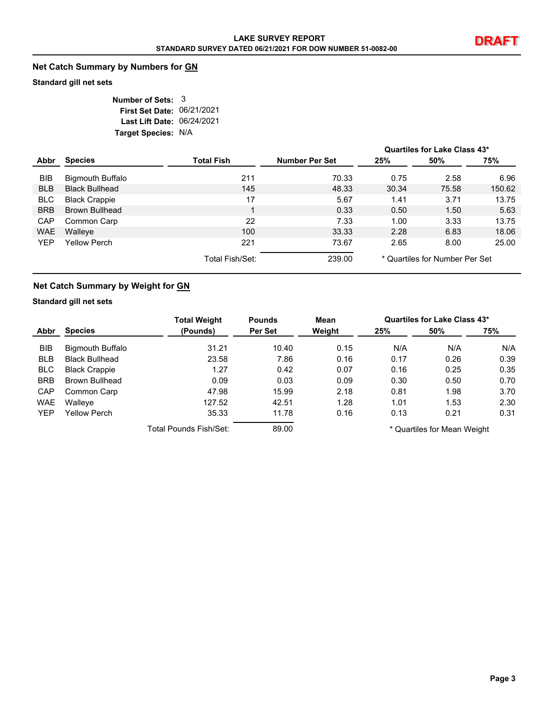#### **Net Catch Summary by Numbers for GN**

#### **Standard gill net sets**

| Number of Sets: 3          |  |
|----------------------------|--|
| First Set Date: 06/21/2021 |  |
| Last Lift Date: 06/24/2021 |  |
| Target Species: N/A        |  |

|            |                         |                   |                       |       | Quartiles for Lake Class 43*   |        |
|------------|-------------------------|-------------------|-----------------------|-------|--------------------------------|--------|
| Abbr       | <b>Species</b>          | <b>Total Fish</b> | <b>Number Per Set</b> | 25%   | 50%                            | 75%    |
| BIB        | <b>Bigmouth Buffalo</b> | 211               | 70.33                 | 0.75  | 2.58                           | 6.96   |
| <b>BLB</b> | <b>Black Bullhead</b>   | 145               | 48.33                 | 30.34 | 75.58                          | 150.62 |
| <b>BLC</b> | <b>Black Crappie</b>    | 17                | 5.67                  | 1.41  | 3.71                           | 13.75  |
| <b>BRB</b> | <b>Brown Bullhead</b>   |                   | 0.33                  | 0.50  | 1.50                           | 5.63   |
| <b>CAP</b> | Common Carp             | 22                | 7.33                  | 1.00  | 3.33                           | 13.75  |
| <b>WAE</b> | Walleye                 | 100               | 33.33                 | 2.28  | 6.83                           | 18.06  |
| <b>YEP</b> | <b>Yellow Perch</b>     | 221               | 73.67                 | 2.65  | 8.00                           | 25.00  |
|            |                         | Total Fish/Set:   | 239.00                |       | * Quartiles for Number Per Set |        |

#### **Net Catch Summary by Weight for GN**

#### **Standard gill net sets**

|            |                         | <b>Total Weight</b>    | <b>Pounds</b> | Mean   |      | Quartiles for Lake Class 43* |      |
|------------|-------------------------|------------------------|---------------|--------|------|------------------------------|------|
| Abbr       | <b>Species</b>          | (Pounds)               | Per Set       | Weight | 25%  | 50%                          | 75%  |
| BIB        | <b>Bigmouth Buffalo</b> | 31.21                  | 10.40         | 0.15   | N/A  | N/A                          | N/A  |
| <b>BLB</b> | <b>Black Bullhead</b>   | 23.58                  | 7.86          | 0.16   | 0.17 | 0.26                         | 0.39 |
| <b>BLC</b> | <b>Black Crappie</b>    | 1.27                   | 0.42          | 0.07   | 0.16 | 0.25                         | 0.35 |
| <b>BRB</b> | Brown Bullhead          | 0.09                   | 0.03          | 0.09   | 0.30 | 0.50                         | 0.70 |
| CAP        | Common Carp             | 47.98                  | 15.99         | 2.18   | 0.81 | 1.98                         | 3.70 |
| <b>WAE</b> | Walleye                 | 127.52                 | 42.51         | 1.28   | 1.01 | 1.53                         | 2.30 |
| <b>YEP</b> | Yellow Perch            | 35.33                  | 11.78         | 0.16   | 0.13 | 0.21                         | 0.31 |
|            |                         | Total Pounds Fish/Set: | 89.00         |        |      | * Quartiles for Mean Weight  |      |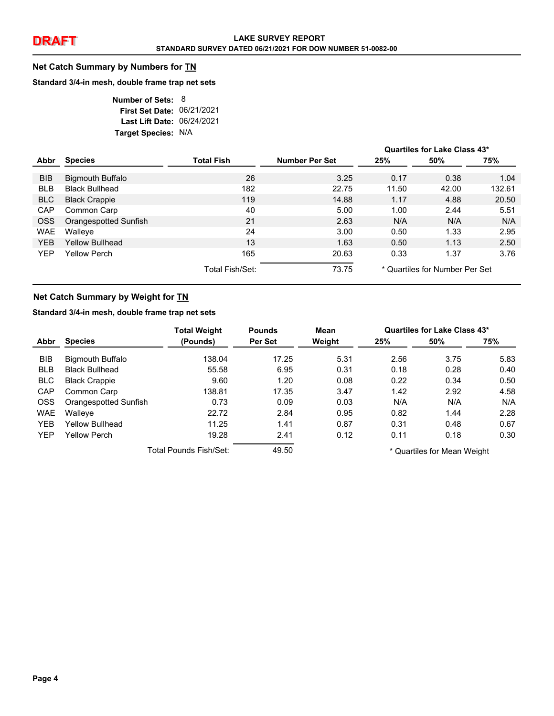#### **Net Catch Summary by Numbers for TN**

#### **Standard 3/4-in mesh, double frame trap net sets**

| Number of Sets: 8          |  |
|----------------------------|--|
| First Set Date: 06/21/2021 |  |
| Last Lift Date: 06/24/2021 |  |
| Target Species: N/A        |  |

|            |                         |                   |                       |       | Quartiles for Lake Class 43*   |        |
|------------|-------------------------|-------------------|-----------------------|-------|--------------------------------|--------|
| Abbr       | <b>Species</b>          | <b>Total Fish</b> | <b>Number Per Set</b> | 25%   | 50%                            | 75%    |
| <b>BIB</b> | <b>Bigmouth Buffalo</b> | 26                | 3.25                  | 0.17  | 0.38                           | 1.04   |
| <b>BLB</b> | <b>Black Bullhead</b>   | 182               | 22.75                 | 11.50 | 42.00                          | 132.61 |
| BLC        | <b>Black Crappie</b>    | 119               | 14.88                 | 1.17  | 4.88                           | 20.50  |
| CAP        | Common Carp             | 40                | 5.00                  | 1.00  | 2.44                           | 5.51   |
| OSS        | Orangespotted Sunfish   | 21                | 2.63                  | N/A   | N/A                            | N/A    |
| <b>WAE</b> | Walleye                 | 24                | 3.00                  | 0.50  | 1.33                           | 2.95   |
| YEB        | Yellow Bullhead         | 13                | 1.63                  | 0.50  | 1.13                           | 2.50   |
| <b>YEP</b> | Yellow Perch            | 165               | 20.63                 | 0.33  | 1.37                           | 3.76   |
|            |                         | Total Fish/Set:   | 73.75                 |       | * Quartiles for Number Per Set |        |

#### **Net Catch Summary by Weight for TN**

#### **Standard 3/4-in mesh, double frame trap net sets**

|            |                         | <b>Total Weight</b>    | <b>Pounds</b> | Mean   |      | Quartiles for Lake Class 43* |      |
|------------|-------------------------|------------------------|---------------|--------|------|------------------------------|------|
| Abbr       | <b>Species</b>          | (Pounds)               | Per Set       | Weight | 25%  | 50%                          | 75%  |
| BIB        | <b>Bigmouth Buffalo</b> | 138.04                 | 17.25         | 5.31   | 2.56 | 3.75                         | 5.83 |
| <b>BLB</b> | <b>Black Bullhead</b>   | 55.58                  | 6.95          | 0.31   | 0.18 | 0.28                         | 0.40 |
| <b>BLC</b> | <b>Black Crappie</b>    | 9.60                   | 1.20          | 0.08   | 0.22 | 0.34                         | 0.50 |
| <b>CAP</b> | Common Carp             | 138.81                 | 17.35         | 3.47   | 1.42 | 2.92                         | 4.58 |
| <b>OSS</b> | Orangespotted Sunfish   | 0.73                   | 0.09          | 0.03   | N/A  | N/A                          | N/A  |
| <b>WAE</b> | Walleye                 | 22.72                  | 2.84          | 0.95   | 0.82 | 1.44                         | 2.28 |
| <b>YEB</b> | <b>Yellow Bullhead</b>  | 11.25                  | 1.41          | 0.87   | 0.31 | 0.48                         | 0.67 |
| <b>YEP</b> | <b>Yellow Perch</b>     | 19.28                  | 2.41          | 0.12   | 0.11 | 0.18                         | 0.30 |
|            |                         | Total Pounds Fish/Set: | 49.50         |        |      | * Quartiles for Mean Weight  |      |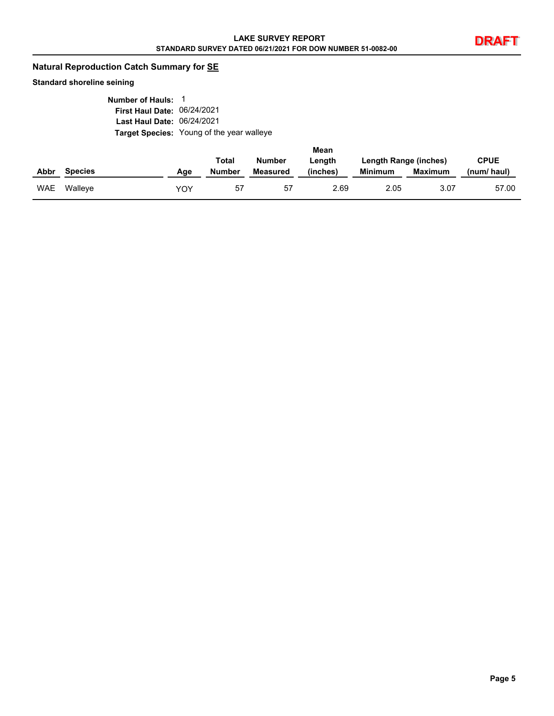#### **Natural Reproduction Catch Summary for SE**

#### **Standard shoreline seining**

| Number of Hauls: 1                |                                                  |
|-----------------------------------|--------------------------------------------------|
| First Haul Date: 06/24/2021       |                                                  |
| <b>Last Haul Date: 06/24/2021</b> |                                                  |
|                                   | <b>Target Species: Young of the year walleye</b> |

|            |                |     |        |               | Mean     |                       |                |             |
|------------|----------------|-----|--------|---------------|----------|-----------------------|----------------|-------------|
|            |                |     | Total  | <b>Number</b> | Length   | Length Range (inches) |                | <b>CPUE</b> |
| Abbr       | <b>Species</b> | Age | Number | Measured      | (inches) | <b>Minimum</b>        | <b>Maximum</b> | (num/haul)  |
| <b>WAE</b> | Walleve        | YOY | 57     | 57            | 2.69     | 2.05                  | 3.07           | 57.00       |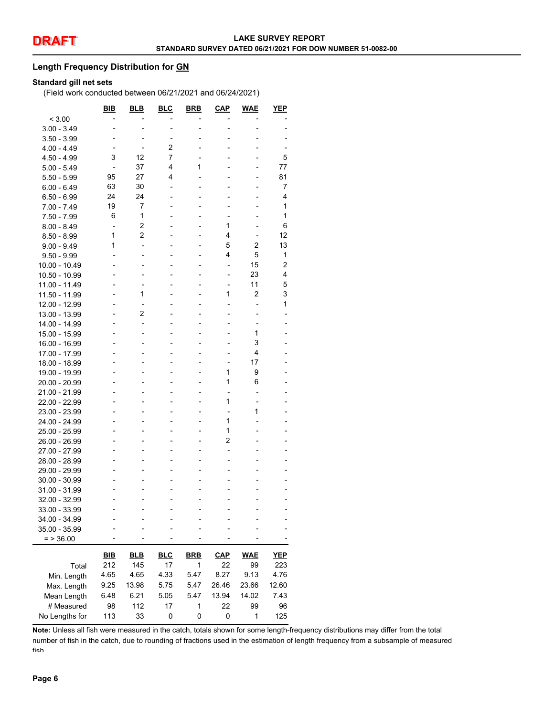#### **Length Frequency Distribution for GN**

#### **Standard gill net sets**

(Field work conducted between 06/21/2021 and 06/24/2021)

| < 3.00<br>$3.00 - 3.49$<br>٠<br>$3.50 - 3.99$<br>-<br>2<br>$4.00 - 4.49$<br>7<br>3<br>12<br>5<br>4.50 - 4.99<br>4<br>1<br>37<br>77<br>$5.00 - 5.49$<br>$\blacksquare$<br>$\overline{a}$<br>4<br>95<br>27<br>81<br>$5.50 - 5.99$<br>$\overline{a}$<br>7<br>63<br>30<br>$6.00 - 6.49$<br>-<br>$\blacksquare$<br>٠<br>24<br>24<br>4<br>$6.50 - 6.99$<br>-<br>19<br>7<br>1<br>$7.00 - 7.49$<br>1<br>1<br>6<br>7.50 - 7.99<br>2<br>1<br>6<br>$8.00 - 8.49$<br>$\overline{a}$<br>2<br>4<br>1<br>12<br>$8.50 - 8.99$<br>۰<br>$\overline{a}$<br>5<br>2<br>13<br>1<br>$9.00 - 9.49$<br>-<br>4<br>5<br>1<br>$9.50 - 9.99$<br>2<br>15<br>10.00 - 10.49<br>-<br>۰<br>4<br>23<br>10.50 - 10.99<br>-<br>$\overline{a}$<br>11<br>5<br>11.00 - 11.49<br>٠<br>۰<br>$\blacksquare$<br>-<br>1<br>2<br>3<br>1<br>11.50 - 11.99<br>1<br>12.00 - 12.99<br>$\overline{a}$<br>2<br>13.00 - 13.99<br>$\overline{a}$<br>14.00 - 14.99<br>۰<br>1<br>15.00 - 15.99<br>٠<br>٠<br>3<br>16.00 - 16.99<br>4<br>17.00 - 17.99<br>17<br>18.00 - 18.99<br>L,<br>۰<br>1<br>9<br>19.00 - 19.99<br>٠<br>1<br>6<br>20.00 - 20.99<br>۰<br>$\blacksquare$<br>-<br>21.00 - 21.99<br>$\overline{a}$<br>1<br>22.00 - 22.99<br>1<br>23.00 - 23.99<br>1<br>24.00 - 24.99<br>1<br>25.00 - 25.99<br>۰<br>2<br>26.00 - 26.99<br>27.00 - 27.99<br>28.00 - 28.99<br>٠<br>29.00 - 29.99<br>30.00 - 30.99<br>31.00 - 31.99<br>32.00 - 32.99<br>33.00 - 33.99<br>34.00 - 34.99<br>35.00 - 35.99<br>$=$ > 36.00<br><b>WAE</b><br><u>BIB</u><br><b>BLB</b><br><b>BLC</b><br><b>BRB</b><br>$CAP$<br><b>YEP</b><br>212<br>145<br>17<br>99<br>223<br>1<br>22<br>Total<br>4.65<br>4.65<br>4.33<br>5.47<br>8.27<br>9.13<br>4.76<br>Min. Length<br>9.25<br>13.98<br>5.75<br>5.47<br>26.46<br>23.66<br>12.60<br>Max. Length |             | BIB  | <b>BLB</b> | <b>BLC</b> | <b>BRB</b> | <u>CAP</u> | <b>WAE</b> | YEP  |
|--------------------------------------------------------------------------------------------------------------------------------------------------------------------------------------------------------------------------------------------------------------------------------------------------------------------------------------------------------------------------------------------------------------------------------------------------------------------------------------------------------------------------------------------------------------------------------------------------------------------------------------------------------------------------------------------------------------------------------------------------------------------------------------------------------------------------------------------------------------------------------------------------------------------------------------------------------------------------------------------------------------------------------------------------------------------------------------------------------------------------------------------------------------------------------------------------------------------------------------------------------------------------------------------------------------------------------------------------------------------------------------------------------------------------------------------------------------------------------------------------------------------------------------------------------------------------------------------------------------------------------------------------------------------------------------------------------------------------------------------------------------|-------------|------|------------|------------|------------|------------|------------|------|
|                                                                                                                                                                                                                                                                                                                                                                                                                                                                                                                                                                                                                                                                                                                                                                                                                                                                                                                                                                                                                                                                                                                                                                                                                                                                                                                                                                                                                                                                                                                                                                                                                                                                                                                                                              |             |      |            |            |            |            |            |      |
|                                                                                                                                                                                                                                                                                                                                                                                                                                                                                                                                                                                                                                                                                                                                                                                                                                                                                                                                                                                                                                                                                                                                                                                                                                                                                                                                                                                                                                                                                                                                                                                                                                                                                                                                                              |             |      |            |            |            |            |            |      |
|                                                                                                                                                                                                                                                                                                                                                                                                                                                                                                                                                                                                                                                                                                                                                                                                                                                                                                                                                                                                                                                                                                                                                                                                                                                                                                                                                                                                                                                                                                                                                                                                                                                                                                                                                              |             |      |            |            |            |            |            |      |
|                                                                                                                                                                                                                                                                                                                                                                                                                                                                                                                                                                                                                                                                                                                                                                                                                                                                                                                                                                                                                                                                                                                                                                                                                                                                                                                                                                                                                                                                                                                                                                                                                                                                                                                                                              |             |      |            |            |            |            |            |      |
|                                                                                                                                                                                                                                                                                                                                                                                                                                                                                                                                                                                                                                                                                                                                                                                                                                                                                                                                                                                                                                                                                                                                                                                                                                                                                                                                                                                                                                                                                                                                                                                                                                                                                                                                                              |             |      |            |            |            |            |            |      |
|                                                                                                                                                                                                                                                                                                                                                                                                                                                                                                                                                                                                                                                                                                                                                                                                                                                                                                                                                                                                                                                                                                                                                                                                                                                                                                                                                                                                                                                                                                                                                                                                                                                                                                                                                              |             |      |            |            |            |            |            |      |
|                                                                                                                                                                                                                                                                                                                                                                                                                                                                                                                                                                                                                                                                                                                                                                                                                                                                                                                                                                                                                                                                                                                                                                                                                                                                                                                                                                                                                                                                                                                                                                                                                                                                                                                                                              |             |      |            |            |            |            |            |      |
|                                                                                                                                                                                                                                                                                                                                                                                                                                                                                                                                                                                                                                                                                                                                                                                                                                                                                                                                                                                                                                                                                                                                                                                                                                                                                                                                                                                                                                                                                                                                                                                                                                                                                                                                                              |             |      |            |            |            |            |            |      |
|                                                                                                                                                                                                                                                                                                                                                                                                                                                                                                                                                                                                                                                                                                                                                                                                                                                                                                                                                                                                                                                                                                                                                                                                                                                                                                                                                                                                                                                                                                                                                                                                                                                                                                                                                              |             |      |            |            |            |            |            |      |
|                                                                                                                                                                                                                                                                                                                                                                                                                                                                                                                                                                                                                                                                                                                                                                                                                                                                                                                                                                                                                                                                                                                                                                                                                                                                                                                                                                                                                                                                                                                                                                                                                                                                                                                                                              |             |      |            |            |            |            |            |      |
|                                                                                                                                                                                                                                                                                                                                                                                                                                                                                                                                                                                                                                                                                                                                                                                                                                                                                                                                                                                                                                                                                                                                                                                                                                                                                                                                                                                                                                                                                                                                                                                                                                                                                                                                                              |             |      |            |            |            |            |            |      |
|                                                                                                                                                                                                                                                                                                                                                                                                                                                                                                                                                                                                                                                                                                                                                                                                                                                                                                                                                                                                                                                                                                                                                                                                                                                                                                                                                                                                                                                                                                                                                                                                                                                                                                                                                              |             |      |            |            |            |            |            |      |
|                                                                                                                                                                                                                                                                                                                                                                                                                                                                                                                                                                                                                                                                                                                                                                                                                                                                                                                                                                                                                                                                                                                                                                                                                                                                                                                                                                                                                                                                                                                                                                                                                                                                                                                                                              |             |      |            |            |            |            |            |      |
|                                                                                                                                                                                                                                                                                                                                                                                                                                                                                                                                                                                                                                                                                                                                                                                                                                                                                                                                                                                                                                                                                                                                                                                                                                                                                                                                                                                                                                                                                                                                                                                                                                                                                                                                                              |             |      |            |            |            |            |            |      |
|                                                                                                                                                                                                                                                                                                                                                                                                                                                                                                                                                                                                                                                                                                                                                                                                                                                                                                                                                                                                                                                                                                                                                                                                                                                                                                                                                                                                                                                                                                                                                                                                                                                                                                                                                              |             |      |            |            |            |            |            |      |
|                                                                                                                                                                                                                                                                                                                                                                                                                                                                                                                                                                                                                                                                                                                                                                                                                                                                                                                                                                                                                                                                                                                                                                                                                                                                                                                                                                                                                                                                                                                                                                                                                                                                                                                                                              |             |      |            |            |            |            |            |      |
|                                                                                                                                                                                                                                                                                                                                                                                                                                                                                                                                                                                                                                                                                                                                                                                                                                                                                                                                                                                                                                                                                                                                                                                                                                                                                                                                                                                                                                                                                                                                                                                                                                                                                                                                                              |             |      |            |            |            |            |            |      |
|                                                                                                                                                                                                                                                                                                                                                                                                                                                                                                                                                                                                                                                                                                                                                                                                                                                                                                                                                                                                                                                                                                                                                                                                                                                                                                                                                                                                                                                                                                                                                                                                                                                                                                                                                              |             |      |            |            |            |            |            |      |
|                                                                                                                                                                                                                                                                                                                                                                                                                                                                                                                                                                                                                                                                                                                                                                                                                                                                                                                                                                                                                                                                                                                                                                                                                                                                                                                                                                                                                                                                                                                                                                                                                                                                                                                                                              |             |      |            |            |            |            |            |      |
|                                                                                                                                                                                                                                                                                                                                                                                                                                                                                                                                                                                                                                                                                                                                                                                                                                                                                                                                                                                                                                                                                                                                                                                                                                                                                                                                                                                                                                                                                                                                                                                                                                                                                                                                                              |             |      |            |            |            |            |            |      |
|                                                                                                                                                                                                                                                                                                                                                                                                                                                                                                                                                                                                                                                                                                                                                                                                                                                                                                                                                                                                                                                                                                                                                                                                                                                                                                                                                                                                                                                                                                                                                                                                                                                                                                                                                              |             |      |            |            |            |            |            |      |
|                                                                                                                                                                                                                                                                                                                                                                                                                                                                                                                                                                                                                                                                                                                                                                                                                                                                                                                                                                                                                                                                                                                                                                                                                                                                                                                                                                                                                                                                                                                                                                                                                                                                                                                                                              |             |      |            |            |            |            |            |      |
|                                                                                                                                                                                                                                                                                                                                                                                                                                                                                                                                                                                                                                                                                                                                                                                                                                                                                                                                                                                                                                                                                                                                                                                                                                                                                                                                                                                                                                                                                                                                                                                                                                                                                                                                                              |             |      |            |            |            |            |            |      |
|                                                                                                                                                                                                                                                                                                                                                                                                                                                                                                                                                                                                                                                                                                                                                                                                                                                                                                                                                                                                                                                                                                                                                                                                                                                                                                                                                                                                                                                                                                                                                                                                                                                                                                                                                              |             |      |            |            |            |            |            |      |
|                                                                                                                                                                                                                                                                                                                                                                                                                                                                                                                                                                                                                                                                                                                                                                                                                                                                                                                                                                                                                                                                                                                                                                                                                                                                                                                                                                                                                                                                                                                                                                                                                                                                                                                                                              |             |      |            |            |            |            |            |      |
|                                                                                                                                                                                                                                                                                                                                                                                                                                                                                                                                                                                                                                                                                                                                                                                                                                                                                                                                                                                                                                                                                                                                                                                                                                                                                                                                                                                                                                                                                                                                                                                                                                                                                                                                                              |             |      |            |            |            |            |            |      |
|                                                                                                                                                                                                                                                                                                                                                                                                                                                                                                                                                                                                                                                                                                                                                                                                                                                                                                                                                                                                                                                                                                                                                                                                                                                                                                                                                                                                                                                                                                                                                                                                                                                                                                                                                              |             |      |            |            |            |            |            |      |
|                                                                                                                                                                                                                                                                                                                                                                                                                                                                                                                                                                                                                                                                                                                                                                                                                                                                                                                                                                                                                                                                                                                                                                                                                                                                                                                                                                                                                                                                                                                                                                                                                                                                                                                                                              |             |      |            |            |            |            |            |      |
|                                                                                                                                                                                                                                                                                                                                                                                                                                                                                                                                                                                                                                                                                                                                                                                                                                                                                                                                                                                                                                                                                                                                                                                                                                                                                                                                                                                                                                                                                                                                                                                                                                                                                                                                                              |             |      |            |            |            |            |            |      |
|                                                                                                                                                                                                                                                                                                                                                                                                                                                                                                                                                                                                                                                                                                                                                                                                                                                                                                                                                                                                                                                                                                                                                                                                                                                                                                                                                                                                                                                                                                                                                                                                                                                                                                                                                              |             |      |            |            |            |            |            |      |
|                                                                                                                                                                                                                                                                                                                                                                                                                                                                                                                                                                                                                                                                                                                                                                                                                                                                                                                                                                                                                                                                                                                                                                                                                                                                                                                                                                                                                                                                                                                                                                                                                                                                                                                                                              |             |      |            |            |            |            |            |      |
|                                                                                                                                                                                                                                                                                                                                                                                                                                                                                                                                                                                                                                                                                                                                                                                                                                                                                                                                                                                                                                                                                                                                                                                                                                                                                                                                                                                                                                                                                                                                                                                                                                                                                                                                                              |             |      |            |            |            |            |            |      |
|                                                                                                                                                                                                                                                                                                                                                                                                                                                                                                                                                                                                                                                                                                                                                                                                                                                                                                                                                                                                                                                                                                                                                                                                                                                                                                                                                                                                                                                                                                                                                                                                                                                                                                                                                              |             |      |            |            |            |            |            |      |
|                                                                                                                                                                                                                                                                                                                                                                                                                                                                                                                                                                                                                                                                                                                                                                                                                                                                                                                                                                                                                                                                                                                                                                                                                                                                                                                                                                                                                                                                                                                                                                                                                                                                                                                                                              |             |      |            |            |            |            |            |      |
|                                                                                                                                                                                                                                                                                                                                                                                                                                                                                                                                                                                                                                                                                                                                                                                                                                                                                                                                                                                                                                                                                                                                                                                                                                                                                                                                                                                                                                                                                                                                                                                                                                                                                                                                                              |             |      |            |            |            |            |            |      |
|                                                                                                                                                                                                                                                                                                                                                                                                                                                                                                                                                                                                                                                                                                                                                                                                                                                                                                                                                                                                                                                                                                                                                                                                                                                                                                                                                                                                                                                                                                                                                                                                                                                                                                                                                              |             |      |            |            |            |            |            |      |
|                                                                                                                                                                                                                                                                                                                                                                                                                                                                                                                                                                                                                                                                                                                                                                                                                                                                                                                                                                                                                                                                                                                                                                                                                                                                                                                                                                                                                                                                                                                                                                                                                                                                                                                                                              |             |      |            |            |            |            |            |      |
|                                                                                                                                                                                                                                                                                                                                                                                                                                                                                                                                                                                                                                                                                                                                                                                                                                                                                                                                                                                                                                                                                                                                                                                                                                                                                                                                                                                                                                                                                                                                                                                                                                                                                                                                                              |             |      |            |            |            |            |            |      |
|                                                                                                                                                                                                                                                                                                                                                                                                                                                                                                                                                                                                                                                                                                                                                                                                                                                                                                                                                                                                                                                                                                                                                                                                                                                                                                                                                                                                                                                                                                                                                                                                                                                                                                                                                              |             |      |            |            |            |            |            |      |
|                                                                                                                                                                                                                                                                                                                                                                                                                                                                                                                                                                                                                                                                                                                                                                                                                                                                                                                                                                                                                                                                                                                                                                                                                                                                                                                                                                                                                                                                                                                                                                                                                                                                                                                                                              |             |      |            |            |            |            |            |      |
|                                                                                                                                                                                                                                                                                                                                                                                                                                                                                                                                                                                                                                                                                                                                                                                                                                                                                                                                                                                                                                                                                                                                                                                                                                                                                                                                                                                                                                                                                                                                                                                                                                                                                                                                                              |             |      |            |            |            |            |            |      |
|                                                                                                                                                                                                                                                                                                                                                                                                                                                                                                                                                                                                                                                                                                                                                                                                                                                                                                                                                                                                                                                                                                                                                                                                                                                                                                                                                                                                                                                                                                                                                                                                                                                                                                                                                              |             |      |            |            |            |            |            |      |
|                                                                                                                                                                                                                                                                                                                                                                                                                                                                                                                                                                                                                                                                                                                                                                                                                                                                                                                                                                                                                                                                                                                                                                                                                                                                                                                                                                                                                                                                                                                                                                                                                                                                                                                                                              |             |      |            |            |            |            |            |      |
|                                                                                                                                                                                                                                                                                                                                                                                                                                                                                                                                                                                                                                                                                                                                                                                                                                                                                                                                                                                                                                                                                                                                                                                                                                                                                                                                                                                                                                                                                                                                                                                                                                                                                                                                                              |             |      |            |            |            |            |            |      |
|                                                                                                                                                                                                                                                                                                                                                                                                                                                                                                                                                                                                                                                                                                                                                                                                                                                                                                                                                                                                                                                                                                                                                                                                                                                                                                                                                                                                                                                                                                                                                                                                                                                                                                                                                              |             |      |            |            |            |            |            |      |
|                                                                                                                                                                                                                                                                                                                                                                                                                                                                                                                                                                                                                                                                                                                                                                                                                                                                                                                                                                                                                                                                                                                                                                                                                                                                                                                                                                                                                                                                                                                                                                                                                                                                                                                                                              |             |      |            |            |            |            |            |      |
|                                                                                                                                                                                                                                                                                                                                                                                                                                                                                                                                                                                                                                                                                                                                                                                                                                                                                                                                                                                                                                                                                                                                                                                                                                                                                                                                                                                                                                                                                                                                                                                                                                                                                                                                                              |             |      |            |            |            |            |            |      |
|                                                                                                                                                                                                                                                                                                                                                                                                                                                                                                                                                                                                                                                                                                                                                                                                                                                                                                                                                                                                                                                                                                                                                                                                                                                                                                                                                                                                                                                                                                                                                                                                                                                                                                                                                              |             |      |            |            |            |            |            |      |
|                                                                                                                                                                                                                                                                                                                                                                                                                                                                                                                                                                                                                                                                                                                                                                                                                                                                                                                                                                                                                                                                                                                                                                                                                                                                                                                                                                                                                                                                                                                                                                                                                                                                                                                                                              |             |      |            |            |            |            |            |      |
|                                                                                                                                                                                                                                                                                                                                                                                                                                                                                                                                                                                                                                                                                                                                                                                                                                                                                                                                                                                                                                                                                                                                                                                                                                                                                                                                                                                                                                                                                                                                                                                                                                                                                                                                                              | Mean Length | 6.48 | 6.21       | 5.05       | 5.47       | 13.94      | 14.02      | 7.43 |
| 98<br>17<br>1<br>22<br>99<br># Measured<br>112<br>96                                                                                                                                                                                                                                                                                                                                                                                                                                                                                                                                                                                                                                                                                                                                                                                                                                                                                                                                                                                                                                                                                                                                                                                                                                                                                                                                                                                                                                                                                                                                                                                                                                                                                                         |             |      |            |            |            |            |            |      |
| No Lengths for<br>33<br>0<br>0<br>0<br>125<br>113<br>1                                                                                                                                                                                                                                                                                                                                                                                                                                                                                                                                                                                                                                                                                                                                                                                                                                                                                                                                                                                                                                                                                                                                                                                                                                                                                                                                                                                                                                                                                                                                                                                                                                                                                                       |             |      |            |            |            |            |            |      |

**Note:** Unless all fish were measured in the catch, totals shown for some length-frequency distributions may differ from the total number of fish in the catch, due to rounding of fractions used in the estimation of length frequency from a subsample of measured fish.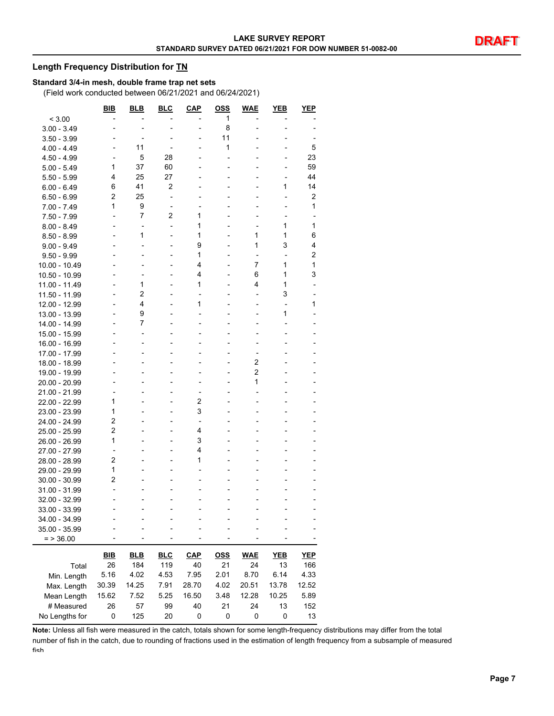#### **Length Frequency Distribution for TN**

#### **Standard 3/4-in mesh, double frame trap net sets**

(Field work conducted between 06/21/2021 and 06/24/2021)

|                | BIB            | BLB                      | <b>BLC</b>               | <b>CAP</b>               | <u>OSS</u> | <b>WAE</b>               | YEB                      | YEP        |
|----------------|----------------|--------------------------|--------------------------|--------------------------|------------|--------------------------|--------------------------|------------|
| < 3.00         |                |                          |                          |                          | 1          |                          |                          |            |
| $3.00 - 3.49$  |                |                          |                          | -                        | 8          |                          |                          |            |
| $3.50 - 3.99$  |                |                          |                          | -                        | 11         |                          |                          |            |
| 4.00 - 4.49    |                | 11                       |                          |                          | 1          |                          |                          | 5          |
| $4.50 - 4.99$  |                | 5                        | 28                       |                          |            |                          |                          | 23         |
| $5.00 - 5.49$  | 1              | 37                       | 60                       |                          |            |                          |                          | 59         |
| $5.50 - 5.99$  | 4              | 25                       | 27                       |                          |            |                          |                          | 44         |
| $6.00 - 6.49$  | 6              | 41                       | $\overline{c}$           |                          |            |                          | 1                        | 14         |
| 6.50 - 6.99    | $\overline{c}$ | 25                       | $\overline{a}$           |                          |            |                          |                          | 2          |
| 7.00 - 7.49    | 1              | 9                        | $\overline{\phantom{a}}$ |                          |            |                          |                          | 1          |
| 7.50 - 7.99    |                | $\overline{7}$           | 2                        | 1                        |            |                          |                          |            |
| $8.00 - 8.49$  |                | ٠                        | $\overline{a}$           | 1                        |            |                          | 1                        | 1          |
| $8.50 - 8.99$  |                | 1                        | $\overline{a}$           | 1                        |            | 1                        | 1                        | 6          |
| $9.00 - 9.49$  |                | L,                       | $\overline{a}$           | 9                        |            | 1                        | 3                        | 4          |
| $9.50 - 9.99$  |                | $\blacksquare$           | $\overline{a}$           | 1                        |            | $\overline{a}$           | $\overline{\phantom{a}}$ | 2          |
| 10.00 - 10.49  |                |                          |                          | 4                        |            | 7                        | 1                        | 1          |
| 10.50 - 10.99  |                | -                        |                          | 4                        |            | 6                        | 1                        | 3          |
| 11.00 - 11.49  |                | 1                        | $\overline{a}$           | 1                        |            | 4                        | 1                        |            |
| 11.50 - 11.99  |                | $\overline{2}$           |                          | $\overline{a}$           |            | $\overline{a}$           | 3                        |            |
| 12.00 - 12.99  |                | 4                        | $\overline{a}$           | 1                        |            | $\overline{\phantom{a}}$ |                          | 1          |
| 13.00 - 13.99  |                | 9                        |                          |                          |            |                          | 1                        |            |
| 14.00 - 14.99  |                | 7                        |                          |                          |            |                          |                          |            |
| 15.00 - 15.99  |                | $\overline{\phantom{0}}$ |                          |                          |            |                          |                          |            |
| 16.00 - 16.99  |                | $\blacksquare$           |                          |                          |            |                          |                          |            |
| 17.00 - 17.99  |                |                          |                          |                          |            | $\overline{a}$           |                          |            |
| 18.00 - 18.99  |                |                          |                          |                          |            | 2                        |                          |            |
| 19.00 - 19.99  |                |                          |                          |                          |            | 2                        |                          |            |
| 20.00 - 20.99  |                |                          |                          | -                        |            | 1                        |                          |            |
| 21.00 - 21.99  |                |                          |                          | $\overline{a}$           |            | $\overline{a}$           |                          |            |
| 22.00 - 22.99  | 1              |                          |                          | 2                        |            |                          |                          |            |
| 23.00 - 23.99  | 1              |                          |                          | 3                        |            |                          |                          |            |
| 24.00 - 24.99  | $\overline{2}$ |                          |                          | $\overline{\phantom{a}}$ |            |                          |                          |            |
| 25.00 - 25.99  | $\overline{c}$ |                          | $\overline{a}$           | 4                        |            |                          |                          |            |
| 26.00 - 26.99  | 1              |                          |                          | 3                        |            |                          |                          |            |
| 27.00 - 27.99  | $\overline{a}$ |                          |                          | 4                        |            |                          |                          |            |
| 28.00 - 28.99  | $\overline{c}$ |                          |                          | 1                        |            |                          |                          |            |
| 29.00 - 29.99  | 1              |                          |                          | L,                       |            |                          |                          |            |
| 30.00 - 30.99  | 2              |                          |                          |                          |            |                          |                          |            |
| 31.00 - 31.99  |                |                          |                          |                          |            |                          |                          |            |
| 32.00 - 32.99  |                |                          |                          |                          |            |                          |                          |            |
| 33.00 - 33.99  |                |                          |                          |                          |            |                          |                          |            |
| 34.00 - 34.99  |                |                          |                          |                          |            |                          |                          |            |
| 35.00 - 35.99  |                |                          |                          |                          |            |                          |                          |            |
| $=$ > 36.00    |                |                          |                          |                          |            |                          |                          |            |
|                |                |                          |                          |                          |            |                          |                          |            |
|                | <u>BIB</u>     | <b>BLB</b>               | <b>BLC</b>               | $CAP$                    | <u>OSS</u> | <b>WAE</b>               | <b>YEB</b>               | <b>YEP</b> |
| Total          | 26             | 184                      | 119                      | 40                       | 21         | 24                       | 13                       | 166        |
| Min. Length    | 5.16           | 4.02                     | 4.53                     | 7.95                     | 2.01       | 8.70                     | 6.14                     | 4.33       |
| Max. Length    | 30.39          | 14.25                    | 7.91                     | 28.70                    | 4.02       | 20.51                    | 13.78                    | 12.52      |
| Mean Length    | 15.62          | 7.52                     | 5.25                     | 16.50                    | 3.48       | 12.28                    | 10.25                    | 5.89       |
| # Measured     | 26             | 57                       | 99                       | 40                       | 21         | 24                       | 13                       | 152        |
| No Lengths for | 0              | 125                      | 20                       | 0                        | 0          | 0                        | 0                        | 13         |

**Note:** Unless all fish were measured in the catch, totals shown for some length-frequency distributions may differ from the total number of fish in the catch, due to rounding of fractions used in the estimation of length frequency from a subsample of measured fish.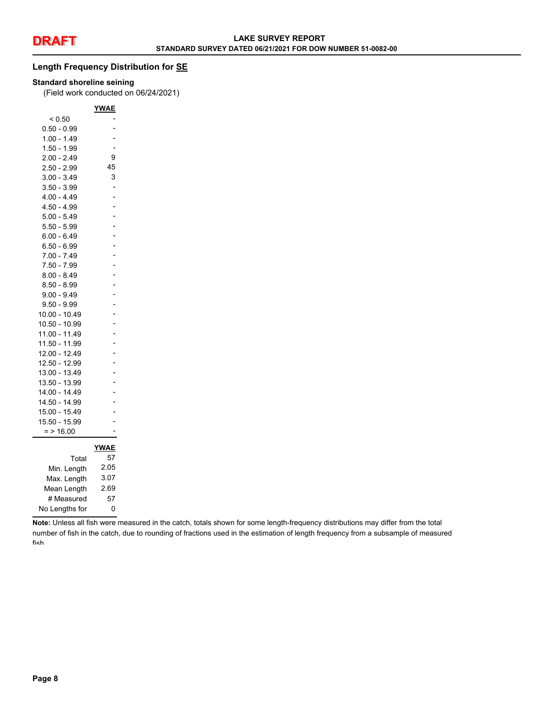#### **Length Frequency Distribution for SE**

#### **Standard shoreline seining**

(Field work conducted on 06/24/2021)

|                | YWAE           |
|----------------|----------------|
| ${}_{0.50}$    |                |
| $0.50 - 0.99$  |                |
| $1.00 - 1.49$  |                |
| $1.50 - 1.99$  |                |
| 2.00 - 2.49    | 9              |
| $2.50 - 2.99$  | 45             |
| $3.00 - 3.49$  | 3              |
| $3.50 - 3.99$  | $\overline{a}$ |
| $4.00 - 4.49$  |                |
| $4.50 - 4.99$  | $\overline{a}$ |
| $5.00 - 5.49$  | $\overline{a}$ |
| $5.50 - 5.99$  | $\overline{a}$ |
| $6.00 - 6.49$  | $\overline{a}$ |
| $6.50 - 6.99$  | $\overline{a}$ |
| $7.00 - 7.49$  | $\overline{a}$ |
| $7.50 - 7.99$  |                |
| $8.00 - 8.49$  | $\overline{a}$ |
| $8.50 - 8.99$  | $\overline{a}$ |
| $9.00 - 9.49$  | $\overline{a}$ |
| $9.50 - 9.99$  |                |
| 10.00 - 10.49  | $\overline{a}$ |
| 10.50 - 10.99  | $\overline{a}$ |
| 11.00 - 11.49  | $\overline{a}$ |
| 11.50 - 11.99  | $\overline{a}$ |
| 12.00 - 12.49  | -              |
| 12.50 - 12.99  |                |
| 13.00 - 13.49  |                |
| 13.50 - 13.99  |                |
| 14.00 - 14.49  |                |
| 14.50 - 14.99  |                |
| 15.00 - 15.49  |                |
| 15.50 - 15.99  |                |
| $= 16.00$      |                |
|                | <u>YWAE</u>    |
| Total          | 57             |
| Min. Length    | 2.05           |
| Max. Length    | 3.07           |
| Mean Length    | 2.69           |
|                | 57             |
| # Measured     |                |
| No Lengths for | 0              |

**Note:** Unless all fish were measured in the catch, totals shown for some length-frequency distributions may differ from the total number of fish in the catch, due to rounding of fractions used in the estimation of length frequency from a subsample of measured fish.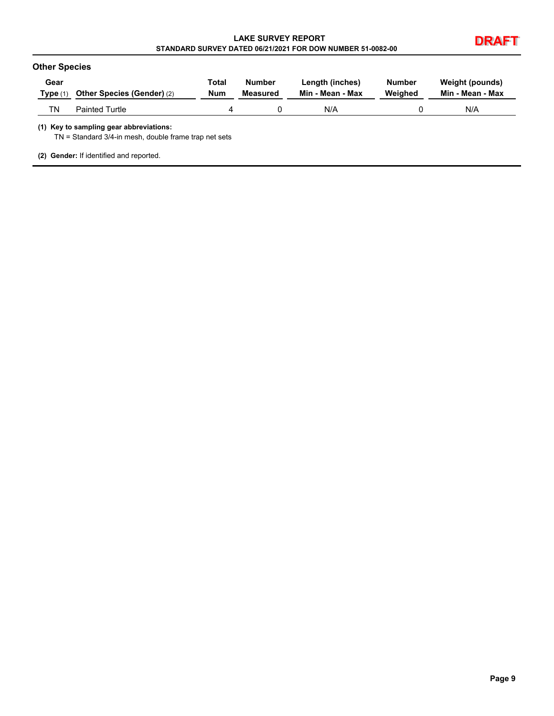| <b>LAKE SURVEY REPORT</b>                                  |  |
|------------------------------------------------------------|--|
| STANDARD SURVEY DATED 06/21/2021 FOR DOW NUMBER 51-0082-00 |  |



| Gear       | <b>Other Species (Gender) (2)</b> | Total      | Number   | Length (inches)  | Number  | Weight (pounds)  |
|------------|-----------------------------------|------------|----------|------------------|---------|------------------|
| Type $(1)$ |                                   | <b>Num</b> | Measured | Min - Mean - Max | Weighed | Min - Mean - Max |
| TN         | <b>Painted Turtle</b>             | 4          |          | N/A              |         | N/A              |

TN = Standard 3/4-in mesh, double frame trap net sets

**(2) Gender:** If identified and reported.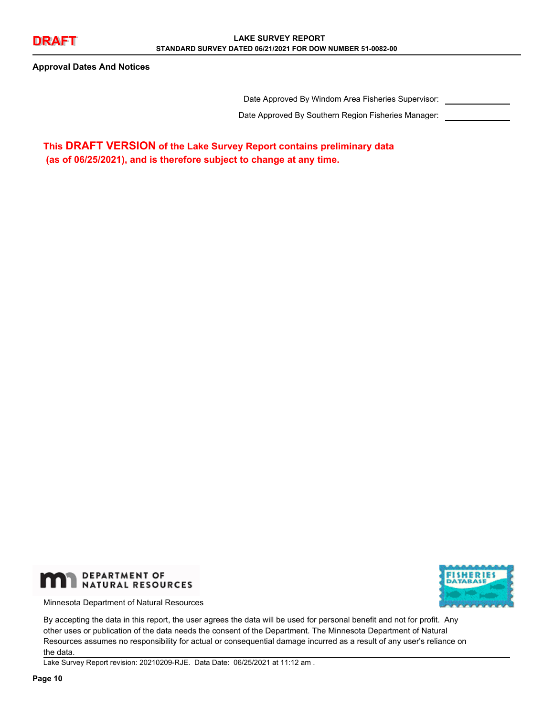**Approval Dates And Notices**

Date Approved By Windom Area Fisheries Supervisor:

Date Approved By Southern Region Fisheries Manager:

**This DRAFT VERSION of the Lake Survey Report contains preliminary data (as of 06/25/2021), and is therefore subject to change at any time.**



Minnesota Department of Natural Resources



By accepting the data in this report, the user agrees the data will be used for personal benefit and not for profit. Any other uses or publication of the data needs the consent of the Department. The Minnesota Department of Natural Resources assumes no responsibility for actual or consequential damage incurred as a result of any user's reliance on the data.

Lake Survey Report revision: 20210209-RJE. Data Date: 06/25/2021 at 11:12 am .